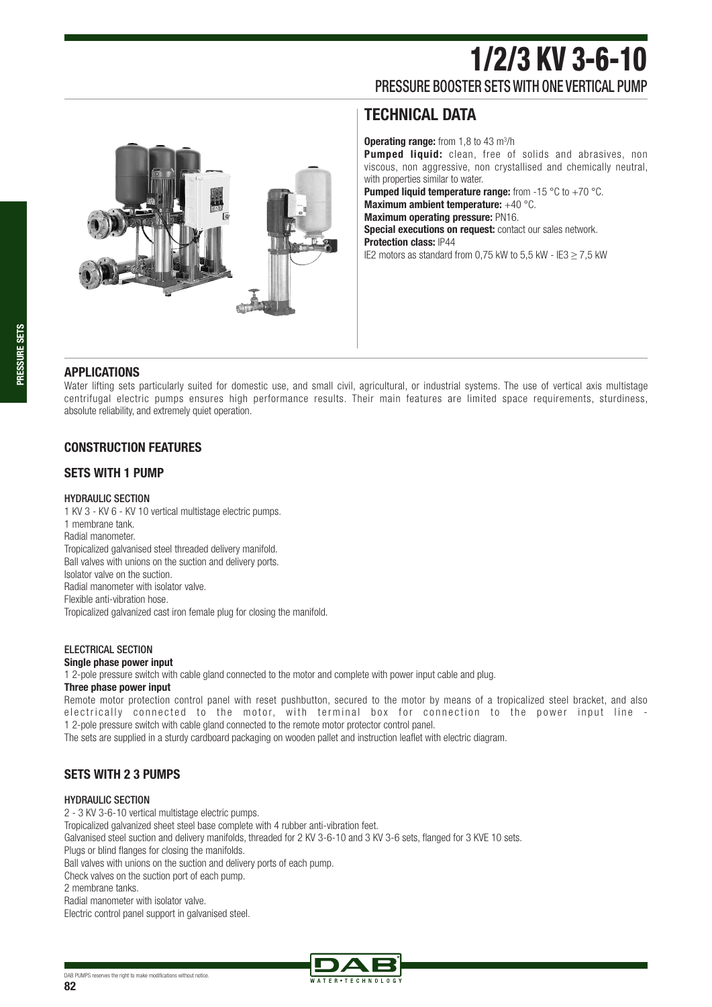# 1/2/3 KV 3-6-10 PRESSURE BOOSTER SETS WITH ONE VERTICAL PUMP

### **TECHNICAL DATA**

**Operating range:** from 1,8 to 43 m<sup>3</sup>/h **Pumped liquid:** clean, free of solids and abrasives, non viscous, non aggressive, non crystallised and chemically neutral, with properties similar to water. **Pumped liquid temperature range:** from -15 °C to +70 °C. **Maximum ambient temperature:** +40 °C. **Maximum operating pressure:** PN16. **Special executions on request:** contact our sales network. **Protection class:** IP44 IE2 motors as standard from 0,75 kW to 5,5 kW - IE3  $\geq$  7,5 kW



**PRESSURE SETS**

Water lifting sets particularly suited for domestic use, and small civil, agricultural, or industrial systems. The use of vertical axis multistage centrifugal electric pumps ensures high performance results. Their main features are limited space requirements, sturdiness, absolute reliability, and extremely quiet operation.

### **CONSTRUCTION FEATURES**

### **SETS WITH 1 PUMP**

### HYDRAULIC SECTION

1 KV 3 - KV 6 - KV 10 vertical multistage electric pumps. 1 membrane tank. Radial manometer. Tropicalized galvanised steel threaded delivery manifold. Ball valves with unions on the suction and delivery ports. Isolator valve on the suction. Radial manometer with isolator valve. Flexible anti-vibration hose. Tropicalized galvanized cast iron female plug for closing the manifold.

### ELECTRICAL SECTION

### **Single phase power input**

1 2-pole pressure switch with cable gland connected to the motor and complete with power input cable and plug.

#### **Three phase power input**

Remote motor protection control panel with reset pushbutton, secured to the motor by means of a tropicalized steel bracket, and also electrically connected to the motor, with terminal box for connection to the power input line - 1 2-pole pressure switch with cable gland connected to the remote motor protector control panel.

The sets are supplied in a sturdy cardboard packaging on wooden pallet and instruction leaflet with electric diagram.

### **SETS WITH 2 3 PUMPS**

#### HYDRAULIC SECTION

2 - 3 KV 3-6-10 vertical multistage electric pumps.

Tropicalized galvanized sheet steel base complete with 4 rubber anti-vibration feet.

Galvanised steel suction and delivery manifolds, threaded for 2 KV 3-6-10 and 3 KV 3-6 sets, flanged for 3 KVE 10 sets.

Plugs or blind flanges for closing the manifolds.

Ball valves with unions on the suction and delivery ports of each pump.

Check valves on the suction port of each pump.

2 membrane tanks.

Radial manometer with isolator valve.

Electric control panel support in galvanised steel.

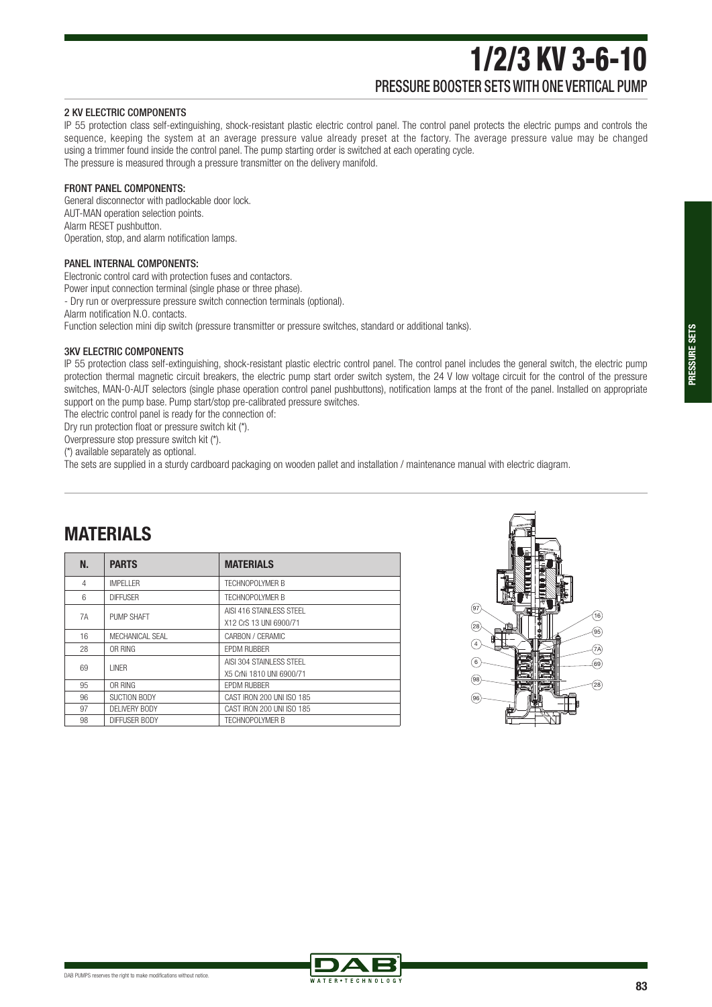# 1/2/3 KV 3-6-10 PRESSURE BOOSTER SETS WITH ONE VERTICAL PUMP

#### 2 KV ELECTRIC COMPONENTS

IP 55 protection class self-extinguishing, shock-resistant plastic electric control panel. The control panel protects the electric pumps and controls the sequence, keeping the system at an average pressure value already preset at the factory. The average pressure value may be changed using a trimmer found inside the control panel. The pump starting order is switched at each operating cycle. The pressure is measured through a pressure transmitter on the delivery manifold.

#### FRONT PANEL COMPONENTS:

General disconnector with padlockable door lock. AUT-MAN operation selection points. Alarm RESET pushbutton. Operation, stop, and alarm notification lamps.

#### PANEL INTERNAL COMPONENTS:

Electronic control card with protection fuses and contactors. Power input connection terminal (single phase or three phase). - Dry run or overpressure pressure switch connection terminals (optional). Alarm notification N.O. contacts.

Function selection mini dip switch (pressure transmitter or pressure switches, standard or additional tanks).

#### 3KV ELECTRIC COMPONENTS

IP 55 protection class self-extinguishing, shock-resistant plastic electric control panel. The control panel includes the general switch, the electric pump protection thermal magnetic circuit breakers, the electric pump start order switch system, the 24 V low voltage circuit for the control of the pressure switches, MAN-0-AUT selectors (single phase operation control panel pushbuttons), notification lamps at the front of the panel. Installed on appropriate support on the pump base. Pump start/stop pre-calibrated pressure switches.

The electric control panel is ready for the connection of:

Dry run protection float or pressure switch kit (\*).

Overpressure stop pressure switch kit (\*).

(\*) available separately as optional.

**MATERIALS**

The sets are supplied in a sturdy cardboard packaging on wooden pallet and installation / maintenance manual with electric diagram.

| N. | <b>PARTS</b>      | <b>MATERIALS</b>                                      |
|----|-------------------|-------------------------------------------------------|
| 4  | <b>IMPFI I FR</b> | <b>TECHNOPOLYMER B</b>                                |
| 6  | <b>DIFFUSFR</b>   | <b>TECHNOPOLYMER B</b>                                |
| 7A | PUMP SHAFT        | AISI 416 STAINI FSS STFFL<br>X12 CrS 13 UNI 6900/71   |
| 16 | MFCHANICAL SFAL   | CARBON / CERAMIC                                      |
| 28 | OR RING           | <b>FPDM RUBBER</b>                                    |
| 69 | I INFR            | AISI 304 STAINI FSS STFFL<br>X5 CrNi 1810 UNI 6900/71 |
| 95 | OR RING           | <b>FPDM RUBBER</b>                                    |
| 96 | SUCTION BODY      | CAST IRON 200 UNI ISO 185                             |
| 97 | DFI IVERY BODY    | CAST IRON 200 UNI ISO 185                             |
| 98 | DIFFUSER BODY     | <b>TECHNOPOLYMER B</b>                                |



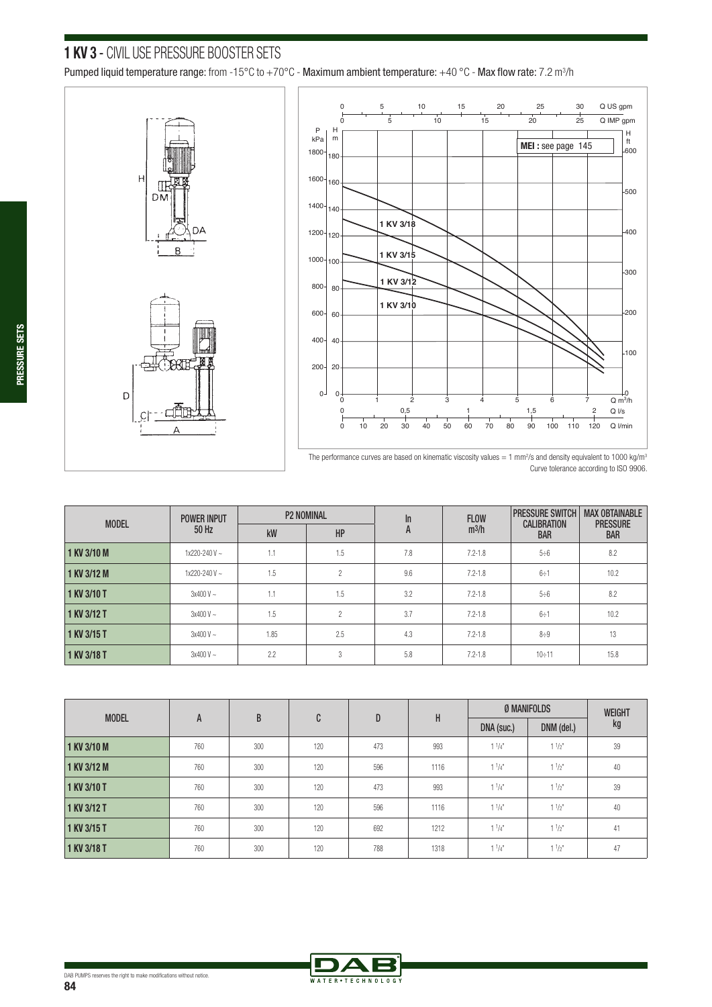# **1 KV 3** - CIVIL USE PRESSURE BOOSTER SETS

Pumped liquid temperature range: from -15°C to +70°C - Maximum ambient temperature: +40 °C - Max flow rate: 7.2 m3 /h





The performance curves are based on kinematic viscosity values = 1 mm<sup>2</sup>/s and density equivalent to 1000 kg/m<sup>3</sup> Curve tolerance according to ISO 9906.

| <b>MODEL</b> | <b>POWER INPUT</b> |      | <b>P2 NOMINAL</b> | $\ln$ | <b>FLOW</b> | <b>PRESSURE SWITCH</b>           | <b>MAX OBTAINABLE</b>         |
|--------------|--------------------|------|-------------------|-------|-------------|----------------------------------|-------------------------------|
|              | 50 Hz              | kW   | HP                | A     | $m^3/h$     | <b>CALIBRATION</b><br><b>BAR</b> | <b>PRESSURE</b><br><b>BAR</b> |
| 1 KV 3/10 M  | $1x220 - 240V$ ~   | 1.1  | 1.5               | 7.8   | $7.2 - 1.8$ | 5:6                              | 8.2                           |
| 1 KV 3/12 M  | $1x220 - 240V$ ~   | 1.5  | $\gamma$          | 9.6   | $7.2 - 1.8$ | 6:1                              | 10.2                          |
| 1 KV 3/10 T  | $3x400V -$         | 1.1  | 1.5               | 3.2   | $7.2 - 1.8$ | 5:6                              | 8.2                           |
| 1 KV 3/12 T  | $3x400V -$         | 1.5  | $^{\circ}$        | 3.7   | $7.2 - 1.8$ | 6:1                              | 10.2                          |
| 1 KV 3/15 T  | $3x400V -$         | 1.85 | 2.5               | 4.3   | $7.2 - 1.8$ | 8:9                              | 13                            |
| 1 KV 3/18 T  | $3x400V -$         | 2.2  | 3                 | 5.8   | $7.2 - 1.8$ | 10:11                            | 15.8                          |

| <b>MODEL</b> |     | B   | C   | D   | H    | Ø MANIFOLDS | <b>WEIGHT</b> |    |
|--------------|-----|-----|-----|-----|------|-------------|---------------|----|
|              | A   |     |     |     |      | DNA (suc.)  | DNM (del.)    | kg |
| 1 KV 3/10 M  | 760 | 300 | 120 | 473 | 993  | $1^{1}/4$ " | $1^{1/2^n}$   | 39 |
| 1 KV 3/12 M  | 760 | 300 | 120 | 596 | 1116 | $1^{1}/4$ " | $1^{1}/2$     | 40 |
| 1 KV 3/10 T  | 760 | 300 | 120 | 473 | 993  | $1^{1}/4$ " | $1^{1/2}$     | 39 |
| 1 KV 3/12 T  | 760 | 300 | 120 | 596 | 1116 | $1^{1}/4$ " | $1^{1/2^n}$   | 40 |
| 1 KV 3/15 T  | 760 | 300 | 120 | 692 | 1212 | $1^{1}/4$ " | $1^{1}/2$     | 41 |
| 1 KV 3/18 T  | 760 | 300 | 120 | 788 | 1318 | $1^{1}/4$   | $1^{1/2^n}$   | 47 |



**PRESSURE SETS**

PRESSURE SETS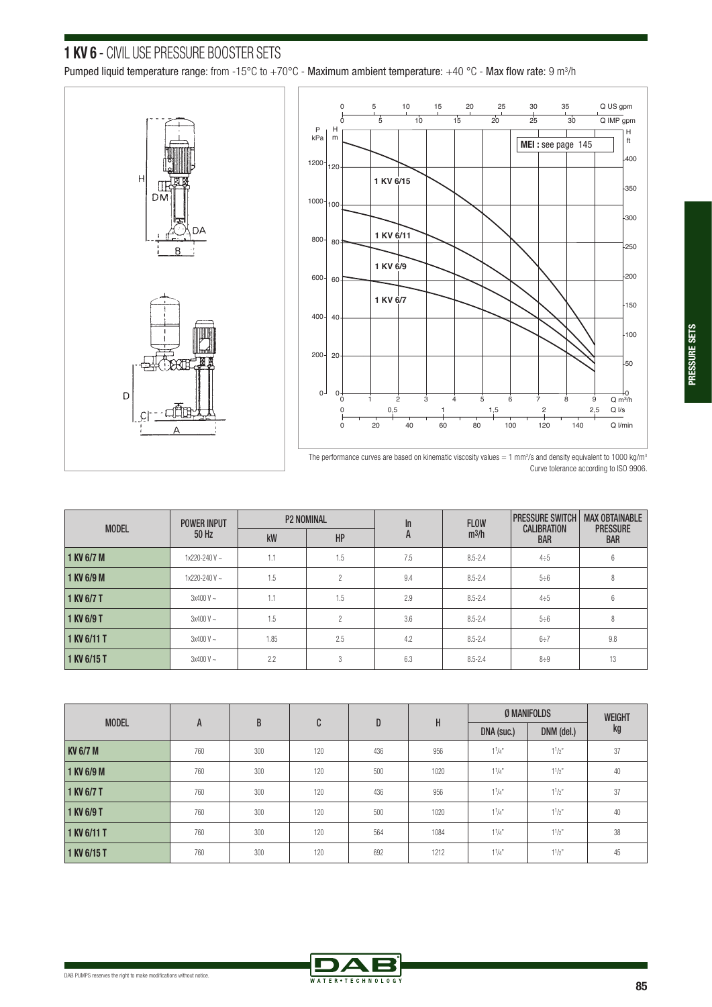# **1 KV 6** - CIVIL USE PRESSURE BOOSTER SETS

Pumped liquid temperature range: from -15°C to +70°C - Maximum ambient temperature: +40 °C - Max flow rate: 9 m<sup>3</sup>/h





The performance curves are based on kinematic viscosity values = 1 mm<sup>2</sup>/s and density equivalent to 1000 kg/m<sup>3</sup> Curve tolerance according to ISO 9906.

| <b>MODEL</b> | <b>POWER INPUT</b> |      | <b>P2 NOMINAL</b> | $\ln$ | <b>FLOW</b>       | <b>PRESSURE SWITCH</b><br><b>CALIBRATION</b> | <b>MAX OBTAINABLE</b><br><b>PRESSURE</b> |
|--------------|--------------------|------|-------------------|-------|-------------------|----------------------------------------------|------------------------------------------|
|              | 50 Hz              | kW   | HP                | A     | m <sup>3</sup> /h | <b>BAR</b>                                   | <b>BAR</b>                               |
| 1 KV 6/7 M   | $1x220 - 240V$ ~   | 1.1  | 1.5               | 7.5   | $8.5 - 2.4$       | 4:5                                          | 6                                        |
| 1 KV 6/9 M   | $1x220 - 240V$ ~   | 1.5  | ŋ                 | 9.4   | $8.5 - 2.4$       | 5:6                                          | 8                                        |
| 1 KV 6/7 T   | $3x400V -$         | 1.1  | 1.5               | 2.9   | $8.5 - 2.4$       | 4:5                                          | 6                                        |
| 1 KV 6/9 T   | $3x400V -$         | 1.5  | $\mathfrak{D}$    | 3.6   | $8.5 - 2.4$       | 5:6                                          | 8                                        |
| 1 KV 6/11 T  | $3x400V -$         | 1.85 | 2.5               | 4.2   | $8.5 - 2.4$       | 6:7                                          | 9.8                                      |
| 1 KV 6/15 T  | $3x400V -$         | 2.2  | 3                 | 6.3   | $8.5 - 2.4$       | 8:9                                          | 13                                       |

|                 |     | B   | C   | D   |      |             | <b>Ø MANIFOLDS</b> | <b>WEIGHT</b> |
|-----------------|-----|-----|-----|-----|------|-------------|--------------------|---------------|
| <b>MODEL</b>    | A   |     |     |     | Н    | DNA (suc.)  | DNM (del.)         | kg            |
| <b>KV 6/7 M</b> | 760 | 300 | 120 | 436 | 956  | $1^{1}/4$   | $1^{1}/2$          | 37            |
| 1 KV 6/9 M      | 760 | 300 | 120 | 500 | 1020 | $1^{1}/4$ " | $1^{1}/2^{n}$      | 40            |
| 1 KV 6/7 T      | 760 | 300 | 120 | 436 | 956  | $1^{1}/4$   | $1^{1}/2$          | 37            |
| 1 KV 6/9 T      | 760 | 300 | 120 | 500 | 1020 | $1^{1}/4$   | $1^{1}/2$          | 40            |
| 1 KV 6/11 T     | 760 | 300 | 120 | 564 | 1084 | $1^{1}/4$   | $1^{1}/2^{n}$      | 38            |
| 1 KV 6/15 T     | 760 | 300 | 120 | 692 | 1212 | $1^{1}/4$   | $1^{1}/2$          | 45            |

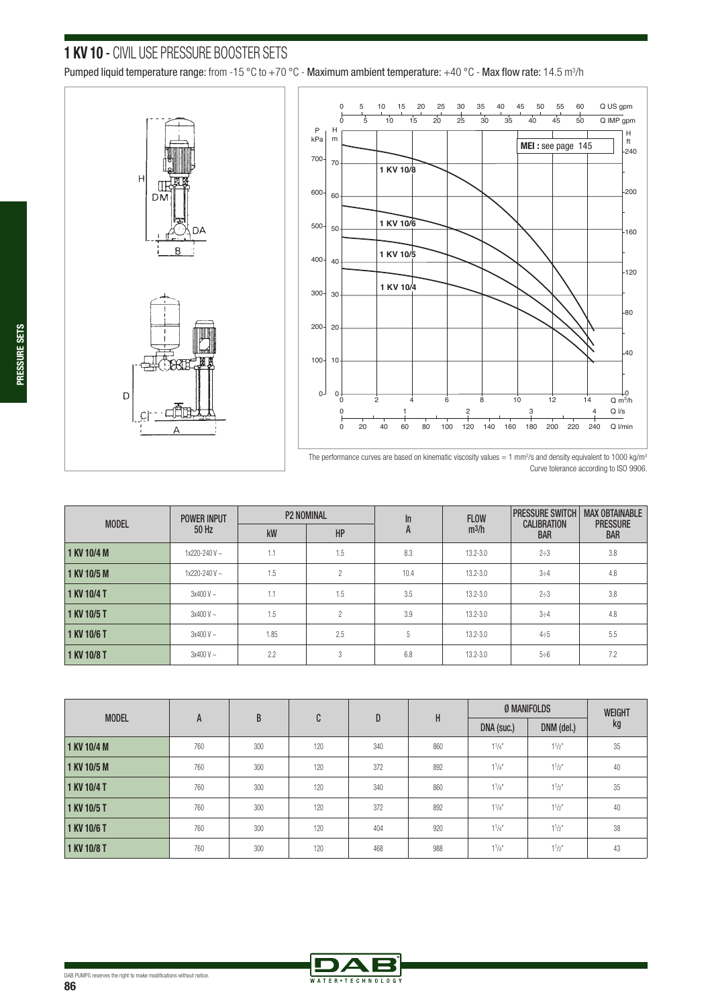### **1 KV 10** - CIVIL USE PRESSURE BOOSTER SETS

Pumped liquid temperature range: from -15 °C to +70 °C - Maximum ambient temperature: +40 °C - Max flow rate: 14.5 m $^3$ /h







The performance curves are based on kinematic viscosity values = 1 mm<sup>2</sup>/s and density equivalent to 1000 kg/m<sup>3</sup> Curve tolerance according to ISO 9906.

| <b>MODEL</b> | <b>POWER INPUT</b> |      | <b>P2 NOMINAL</b> | In   | <b>FLOW</b>  | <b>PRESSURE SWITCH</b><br><b>CALIBRATION</b> | <b>MAX OBTAINABLE</b>         |
|--------------|--------------------|------|-------------------|------|--------------|----------------------------------------------|-------------------------------|
|              | 50 Hz              | kW   | HP                | A    | $m^3/h$      | <b>BAR</b>                                   | <b>PRESSURE</b><br><b>BAR</b> |
| 1 KV 10/4 M  | $1x220 - 240V$ ~   | 1.1  | 1.5               | 8.3  | $13.2 - 3.0$ | $2 \div 3$                                   | 3.8                           |
| 1 KV 10/5 M  | $1x220 - 240V$ ~   | 1.5  | $\gamma$          | 10.4 | $13.2 - 3.0$ | 3:4                                          | 4.8                           |
| 1 KV 10/4 T  | $3x400V -$         | 1.1  | 1.5               | 3.5  | $13.2 - 3.0$ | $2 \div 3$                                   | 3.8                           |
| 1 KV 10/5 T  | $3x400V -$         | 1.5  | 2                 | 3.9  | $13.2 - 3.0$ | $3 \div 4$                                   | 4.8                           |
| 1 KV 10/6 T  | $3x400V -$         | 1.85 | 2.5               | 5    | $13.2 - 3.0$ | 4:5                                          | 5.5                           |
| 1 KV 10/8 T  | $3x400V -$         | 2.2  | 3                 | 6.8  | $13.2 - 3.0$ | $5 \div 6$                                   | 7.2                           |

| <b>MODEL</b> |     | B   | C   | D   | Н   |            | Ø MANIFOLDS | <b>WEIGHT</b> |
|--------------|-----|-----|-----|-----|-----|------------|-------------|---------------|
|              | A   |     |     |     |     | DNA (suc.) | DNM (del.)  | kg            |
| 1 KV 10/4 M  | 760 | 300 | 120 | 340 | 860 | $1^{1}/4$  | $1^{1}/2$ " | 35            |
| 1 KV 10/5 M  | 760 | 300 | 120 | 372 | 892 | $1^{1}/4$  | $1^{1}/2$ " | 40            |
| 1 KV 10/4 T  | 760 | 300 | 120 | 340 | 860 | $1^{1}/4$  | $1^{1/2}$   | 35            |
| 1 KV 10/5 T  | 760 | 300 | 120 | 372 | 892 | $1^{1}/4$  | $1^{1/2"$   | 40            |
| 1 KV 10/6 T  | 760 | 300 | 120 | 404 | 920 | $1^{1}/4$  | $1^{1}/2$ " | 38            |
| 1 KV 10/8 T  | 760 | 300 | 120 | 468 | 988 | $1^{1}/4$  | $1^{1}/2$ " | 43            |

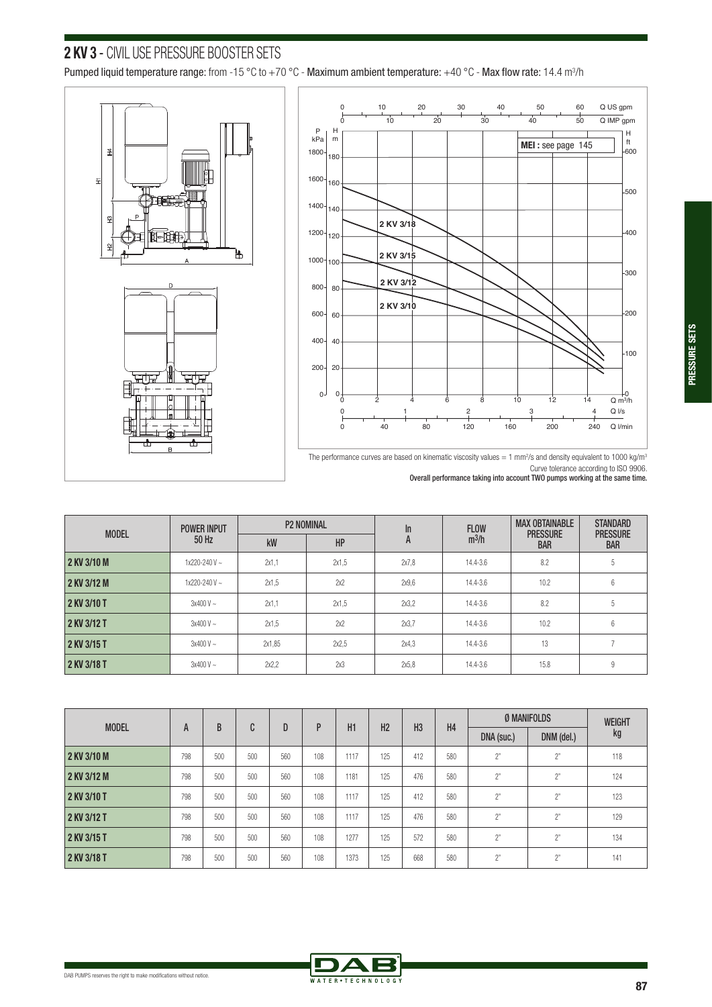# **2 KV 3** - CIVIL USE PRESSURE BOOSTER SETS

Pumped liquid temperature range: from -15 °C to +70 °C - Maximum ambient temperature: +40 °C - Max flow rate: 14.4 m $^3$ /h





The performance curves are based on kinematic viscosity values = 1 mm<sup>2</sup>/s and density equivalent to 1000 kg/m<sup>3</sup> Curve tolerance according to ISO 9906. Overall performance taking into account TWO pumps working at the same time.

| <b>MODEL</b> | <b>POWER INPUT</b>  |        | <b>P2 NOMINAL</b> | In    | <b>FLOW</b> | <b>MAX OBTAINABLE</b>         | <b>STANDARD</b>               |
|--------------|---------------------|--------|-------------------|-------|-------------|-------------------------------|-------------------------------|
|              | 50 Hz               | kW     | HP                | A     | $m^3/h$     | <b>PRESSURE</b><br><b>BAR</b> | <b>PRESSURE</b><br><b>BAR</b> |
| 2 KV 3/10 M  | $1x220 - 240V$ ~    | 2x1.1  | 2x1.5             | 2x7.8 | 14.4-3.6    | 8.2                           | 5                             |
| 2 KV 3/12 M  | $1x220 - 240V \sim$ | 2x1.5  | 2x2               | 2x9.6 | 14.4-3.6    | 10.2                          | 6                             |
| 2 KV 3/10 T  | $3x400V -$          | 2x1.1  | 2x1.5             | 2x3.2 | 14.4-3.6    | 8.2                           | 5                             |
| 2 KV 3/12 T  | $3x400V -$          | 2x1.5  | 2x2               | 2x3,7 | 14.4-3.6    | 10.2                          | 6                             |
| 2 KV 3/15 T  | $3x400V -$          | 2x1.85 | 2x2.5             | 2x4.3 | 14.4-3.6    | 13                            |                               |
| 2 KV 3/18 T  | $3x400V -$          | 2x2.2  | 2x3               | 2x5.8 | 14.4-3.6    | 15.8                          | 9                             |

| <b>MODEL</b> |     | B   | r<br>U | D   | P   | H1   | H <sub>2</sub> |     | H <sub>3</sub><br>H4 | <b>Ø MANIFOLDS</b> |            | <b>WEIGHT</b> |
|--------------|-----|-----|--------|-----|-----|------|----------------|-----|----------------------|--------------------|------------|---------------|
|              | A   |     |        |     |     |      |                |     |                      | DNA (suc.)         | DNM (del.) | kg            |
| 2 KV 3/10 M  | 798 | 500 | 500    | 560 | 108 | 1117 | 125            | 412 | 580                  | 2"                 | 2"         | 118           |
| 2 KV 3/12 M  | 798 | 500 | 500    | 560 | 108 | 1181 | 125            | 476 | 580                  | 2"                 | $2^{n}$    | 124           |
| 2 KV 3/10 T  | 798 | 500 | 500    | 560 | 108 | 1117 | 125            | 412 | 580                  | 2"                 | $2^{n}$    | 123           |
| 2 KV 3/12 T  | 798 | 500 | 500    | 560 | 108 | 1117 | 125            | 476 | 580                  | 2"                 | 2"         | 129           |
| 2 KV 3/15 T  | 798 | 500 | 500    | 560 | 108 | 1277 | 125            | 572 | 580                  | 2"                 | $2^{n}$    | 134           |
| 2 KV 3/18 T  | 798 | 500 | 500    | 560 | 108 | 1373 | 125            | 668 | 580                  | 2"                 | $2^{n}$    | 141           |

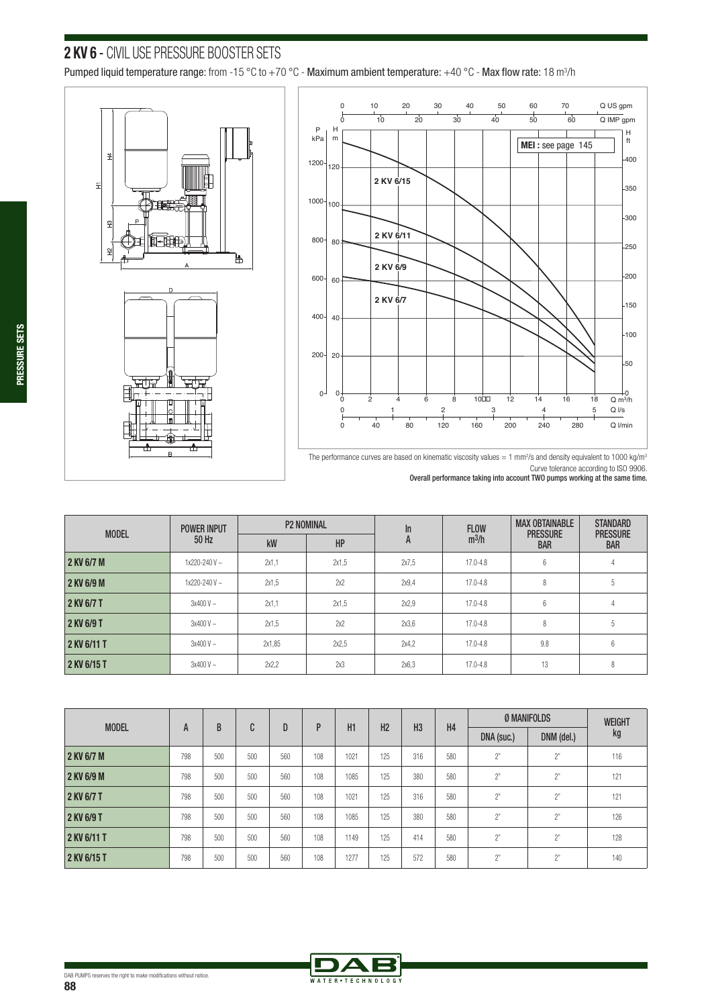# **2 KV 6** - CIVIL USE PRESSURE BOOSTER SETS

Pumped liquid temperature range: from -15 °C to +70 °C - Maximum ambient temperature: +40 °C - Max flow rate: 18 m<sup>3</sup>/h







|              | <b>POWER INPUT</b> |        | <b>P2 NOMINAL</b> | In    | <b>FLOW</b>  | <b>MAX OBTAINABLE</b>         | <b>STANDARD</b>               |
|--------------|--------------------|--------|-------------------|-------|--------------|-------------------------------|-------------------------------|
| <b>MODEL</b> | 50 Hz              | kW     | HP                | A     | $m^3/h$      | <b>PRESSURE</b><br><b>BAR</b> | <b>PRESSURE</b><br><b>BAR</b> |
| 2 KV 6/7 M   | $1x220 - 240V$ ~   | 2x1.1  | 2x1.5             | 2x7.5 | $17.0 - 4.8$ | 6                             | 4                             |
| 2 KV 6/9 M   | $1x220 - 240V$ ~   | 2x1.5  | 2x2               | 2x9.4 | 17.0-4.8     | 8                             | 5                             |
| 2 KV 6/7 T   | $3x400V -$         | 2x1.1  | 2x1.5             | 2x2.9 | 17.0-4.8     | $6\phantom{1}6$               |                               |
| 2 KV 6/9 T   | $3x400V -$         | 2x1.5  | 2x2               | 2x3.6 | 17.0-4.8     | 8                             | b                             |
| 2 KV 6/11 T  | $3x400V -$         | 2x1,85 | 2x2.5             | 2x4.2 | 17.0-4.8     | 9.8                           | 6                             |
| 2 KV 6/15 T  | $3x400V -$         | 2x2.2  | 2x3               | 2x6.3 | 17.0-4.8     | 13                            | 8                             |

| <b>MODEL</b> |     | B   | C   | D   | P   | H1   | H2  | H <sub>3</sub> | H <sub>4</sub> | Ø MANIFOLDS |                | <b>WEIGHT</b> |
|--------------|-----|-----|-----|-----|-----|------|-----|----------------|----------------|-------------|----------------|---------------|
|              | A   |     |     |     |     |      |     |                |                | DNA (suc.)  | DNM (del.)     | kg            |
| 2 KV 6/7 M   | 798 | 500 | 500 | 560 | 108 | 1021 | 125 | 316            | 580            | 2"          | 2"             | 116           |
| 2 KV 6/9 M   | 798 | 500 | 500 | 560 | 108 | 1085 | 125 | 380            | 580            | 2"          | 2"             | 121           |
| 2 KV 6/7 T   | 798 | 500 | 500 | 560 | 108 | 1021 | 125 | 316            | 580            | 2"          | 2 <sup>n</sup> | 121           |
| 2 KV 6/9 T   | 798 | 500 | 500 | 560 | 108 | 1085 | 125 | 380            | 580            | 2"          | 2 <sup>n</sup> | 126           |
| 2 KV 6/11 T  | 798 | 500 | 500 | 560 | 108 | 1149 | 125 | 414            | 580            | 2"          | 2"             | 128           |
| 2 KV 6/15 T  | 798 | 500 | 500 | 560 | 108 | 1277 | 125 | 572            | 580            | 2"          | 2"             | 140           |



The performance curves are based on kinematic viscosity values = 1 mm<sup>2</sup>/s and density equivalent to 1000 kg/m<sup>3</sup> Curve tolerance according to ISO 9906. Overall performance taking into account TWO pumps working at the same time.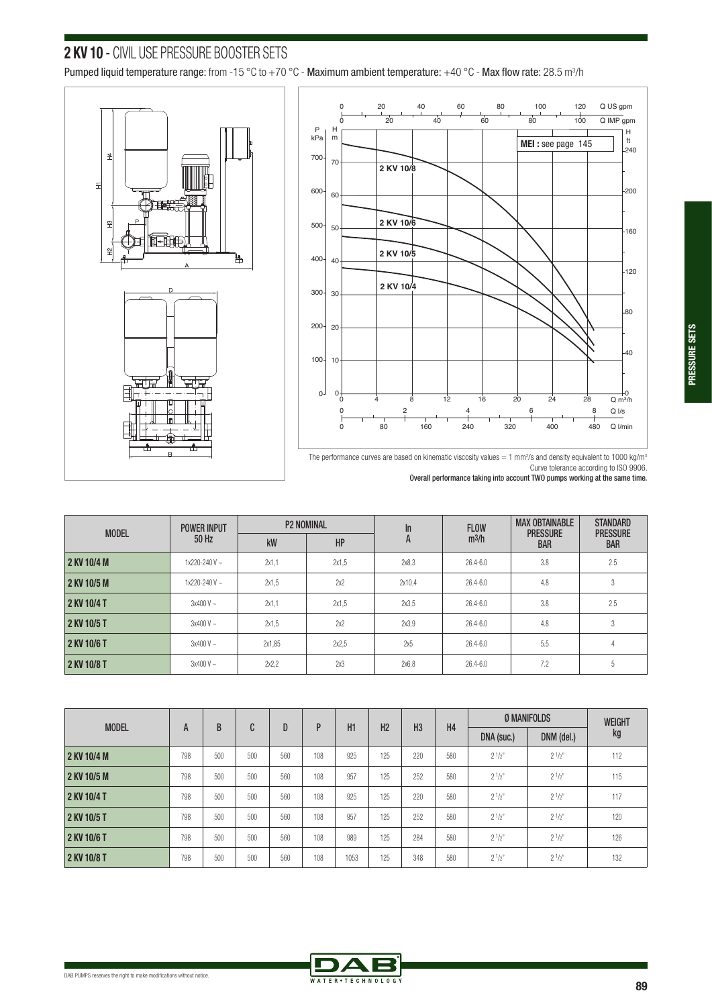# **2 KV 10** - CIVIL USE PRESSURE BOOSTER SETS

Pumped liquid temperature range: from -15 °C to +70 °C - Maximum ambient temperature: +40 °C - Max flow rate: 28.5 m $^3$ /h





The performance curves are based on kinematic viscosity values  $=1$  mm<sup>2</sup>/s and density equivalent to 1000 kg/m<sup>3</sup> Curve tolerance according to ISO 9906.

Overall performance taking into account TWO pumps working at the same time.

| <b>MODEL</b> | <b>POWER INPUT</b>  |        | <b>P2 NOMINAL</b> | $\ln$  | <b>FLOW</b>  | <b>MAX OBTAINABLE</b><br><b>PRESSURE</b> | <b>STANDARD</b><br><b>PRESSURE</b> |
|--------------|---------------------|--------|-------------------|--------|--------------|------------------------------------------|------------------------------------|
|              | 50 Hz               | kW     | HP                | A      | $m^3/h$      | <b>BAR</b>                               | <b>BAR</b>                         |
| 2 KV 10/4 M  | $1x220 - 240V \sim$ | 2x1.1  | 2x1.5             | 2x8.3  | $26.4 - 6.0$ | 3.8                                      | 2.5                                |
| 2 KV 10/5 M  | $1x220 - 240V \sim$ | 2x1.5  | 2x2               | 2x10.4 | $26.4 - 6.0$ | 4.8                                      | 3                                  |
| 2 KV 10/4 T  | $3x400V -$          | 2x1,1  | 2x1.5             | 2x3.5  | 26.4-6.0     | 3.8                                      | 2.5                                |
| 2 KV 10/5 T  | $3x400V -$          | 2x1.5  | 2x2               | 2x3.9  | $26.4 - 6.0$ | 4.8                                      | 3                                  |
| 2 KV 10/6 T  | $3x400V -$          | 2x1.85 | 2x2.5             | 2x5    | $26.4 - 6.0$ | 5.5                                      | 4                                  |
| 2 KV 10/8 T  | $3x400V -$          | 2x2.2  | 2x3               | 2x6.8  | 26.4-6.0     | 7.2                                      | 5                                  |

|              |     | B   | C   | D   |     | H1   | H <sub>2</sub> | H <sub>3</sub> | H <sub>4</sub> | Ø MANIFOLDS |             | <b>WEIGHT</b> |
|--------------|-----|-----|-----|-----|-----|------|----------------|----------------|----------------|-------------|-------------|---------------|
| <b>MODEL</b> | A   |     |     |     | P   |      |                |                |                | DNA (suc.)  | DNM (del.)  | kg            |
| 2 KV 10/4 M  | 798 | 500 | 500 | 560 | 108 | 925  | 125            | 220            | 580            | $2^{1/2"}$  | $2^{1/2}$   | 112           |
| 2 KV 10/5 M  | 798 | 500 | 500 | 560 | 108 | 957  | 125            | 252            | 580            | $2^{1/2}$   | $2^{1/2}$   | 115           |
| 2 KV 10/4 T  | 798 | 500 | 500 | 560 | 108 | 925  | 125            | 220            | 580            | $2^{1/2"}$  | $2^{1/2^n}$ | 117           |
| 2 KV 10/5 T  | 798 | 500 | 500 | 560 | 108 | 957  | 125            | 252            | 580            | $2^{1/2"}$  | $2^{1/2^n}$ | 120           |
| 2 KV 10/6 T  | 798 | 500 | 500 | 560 | 108 | 989  | 125            | 284            | 580            | $2^{1/2}$   | $2^{1/2^n}$ | 126           |
| 2 KV 10/8 T  | 798 | 500 | 500 | 560 | 108 | 1053 | 125            | 348            | 580            | $2^{1/2"}$  | $2^{1/2^n}$ | 132           |

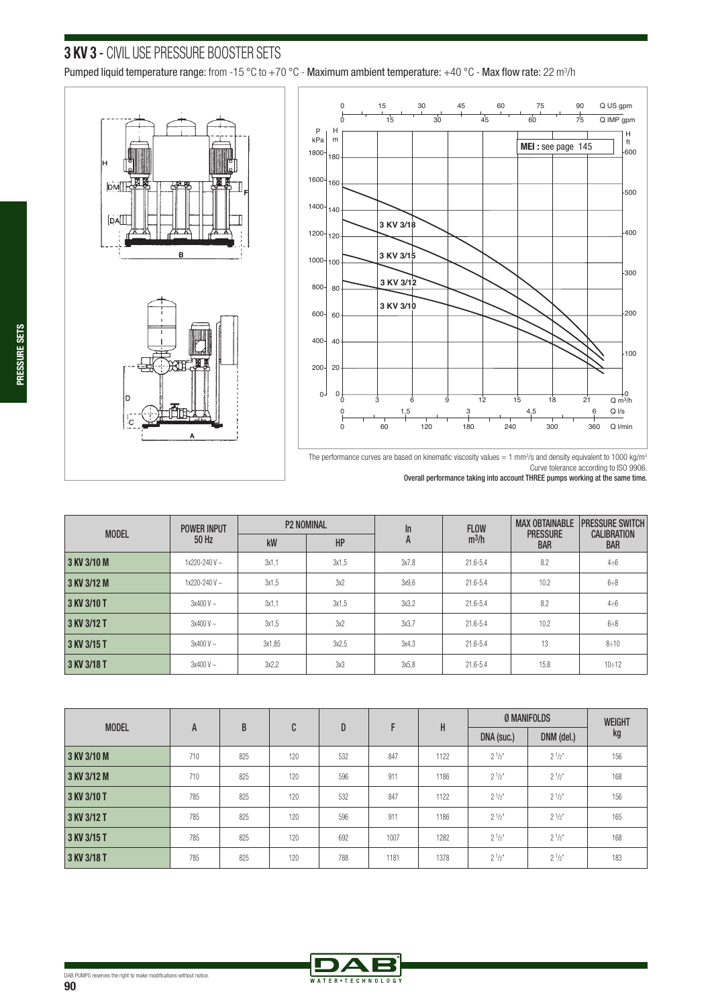# **3 KV 3** - CIVIL USE PRESSURE BOOSTER SETS

Pumped liquid temperature range: from -15 °C to +70 °C - Maximum ambient temperature: +40 °C - Max flow rate: 22 m<sup>3</sup>/h







Curve tolerance according to ISO 9906. Overall performance taking into account THREE pumps working at the same time.

| <b>MODEL</b> | <b>POWER INPUT</b> |        | <b>P2 NOMINAL</b> | In    | <b>FLOW</b> | <b>MAX OBTAINABLE</b>         | <b>PRESSURE SWITCH</b>           |
|--------------|--------------------|--------|-------------------|-------|-------------|-------------------------------|----------------------------------|
|              | 50 Hz              | kW     | HP                | A     | $m^3/h$     | <b>PRESSURE</b><br><b>BAR</b> | <b>CALIBRATION</b><br><b>BAR</b> |
| 3 KV 3/10 M  | $1x220 - 240V$ ~   | 3x1.1  | 3x1.5             | 3x7.8 | 21.6-5.4    | 8.2                           | $4 \div 6$                       |
| 3 KV 3/12 M  | $1x220 - 240V$ ~   | 3x1.5  | 3x2               | 3x9.6 | 21.6-5.4    | 10.2                          | 6:8                              |
| 3 KV 3/10 T  | $3x400V -$         | 3x1.1  | 3x1.5             | 3x3.2 | 21.6-5.4    | 8.2                           | $4 \div 6$                       |
| 3 KV 3/12 T  | $3x400V -$         | 3x1.5  | 3x2               | 3x3.7 | 21.6-5.4    | 10.2                          | 6:8                              |
| 3 KV 3/15 T  | $3x400V -$         | 3x1,85 | 3x2.5             | 3x4.3 | 21.6-5.4    | 13                            | 8:10                             |
| 3 KV 3/18 T  | $3x400V -$         | 3x2.2  | 3x3               | 3x5.8 | 21.6-5.4    | 15.8                          | 10:12                            |

| <b>MODEL</b> | A   | B   | C   | D   | F    | H    | Ø MANIFOLDS |            | <b>WEIGHT</b> |
|--------------|-----|-----|-----|-----|------|------|-------------|------------|---------------|
|              |     |     |     |     |      |      | DNA (suc.)  | DNM (del.) | kg            |
| 3 KV 3/10 M  | 710 | 825 | 120 | 532 | 847  | 1122 | $2^{1/2"}$  | $2^{1/2"}$ | 156           |
| 3 KV 3/12 M  | 710 | 825 | 120 | 596 | 911  | 1186 | $2^{1/2"}$  | $2^{1/2"}$ | 168           |
| 3 KV 3/10 T  | 785 | 825 | 120 | 532 | 847  | 1122 | $2^{1/2"}$  | $2^{1/2"}$ | 156           |
| 3 KV 3/12 T  | 785 | 825 | 120 | 596 | 911  | 1186 | $2^{1/2^n}$ | $2^{1/2"}$ | 165           |
| 3 KV 3/15 T  | 785 | 825 | 120 | 692 | 1007 | 1282 | $2^{1/2"}$  | $2^{1/2"}$ | 168           |
| 3 KV 3/18 T  | 785 | 825 | 120 | 788 | 1181 | 1378 | $2^{1/2"}$  | $2^{1/2"}$ | 183           |



The performance curves are based on kinematic viscosity values  $=1$  mm<sup>2</sup>/s and density equivalent to 1000 kg/m<sup>3</sup>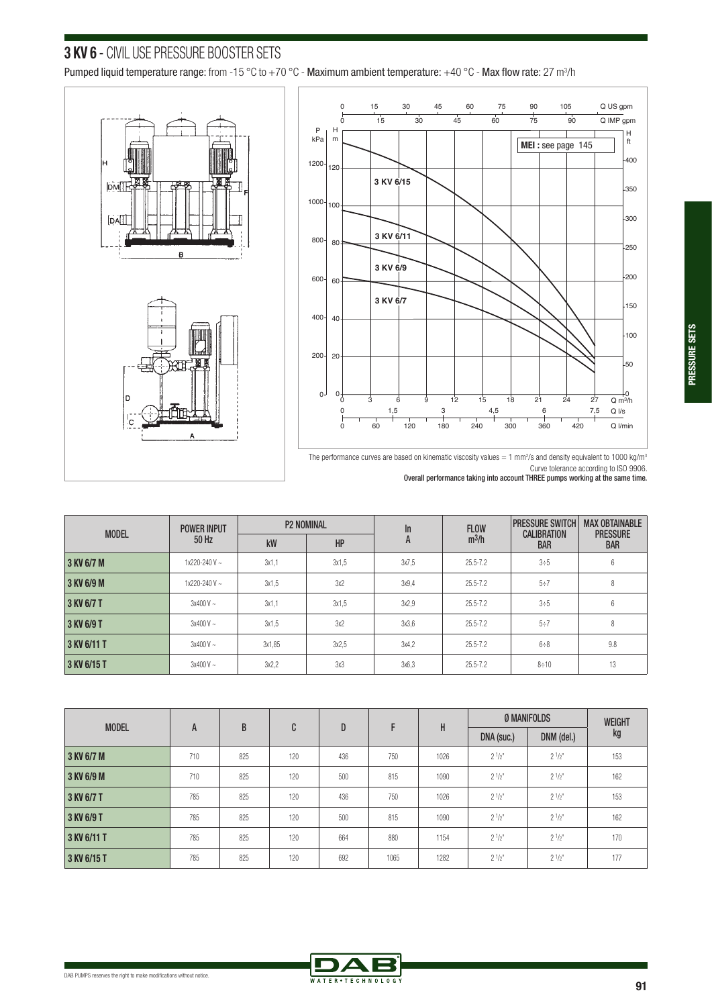# **3 KV 6** - CIVIL USE PRESSURE BOOSTER SETS

Pumped liquid temperature range: from -15 °C to +70 °C - Maximum ambient temperature: +40 °C - Max flow rate: 27 m<sup>3</sup>/h





The performance curves are based on kinematic viscosity values = 1 mm<sup>2</sup>/s and density equivalent to 1000 kg/m<sup>3</sup>

Curve tolerance according to ISO 9906. Overall performance taking into account THREE pumps working at the same time.

| <b>MODEL</b> | <b>POWER INPUT</b>  |        | <b>P2 NOMINAL</b> | In    | <b>FLOW</b>  | <b>PRESSURE SWITCH</b>           | <b>MAX OBTAINABLE</b>         |
|--------------|---------------------|--------|-------------------|-------|--------------|----------------------------------|-------------------------------|
|              | 50 Hz               | kW     | HP                | A     | $m^3/h$      | <b>CALIBRATION</b><br><b>BAR</b> | <b>PRESSURE</b><br><b>BAR</b> |
| 3 KV 6/7 M   | $1x220 - 240V$ ~    | 3x1.1  | 3x1.5             | 3x7.5 | 25.5-7.2     | 3:5                              | 6                             |
| 3 KV 6/9 M   | $1x220 - 240V \sim$ | 3x1.5  | 3x2               | 3x9.4 | $25.5 - 7.2$ | 5:7                              | 8                             |
| 3 KV 6/7 T   | $3x400V -$          | 3x1.1  | 3x1.5             | 3x2.9 | 25.5-7.2     | 3:5                              | 6                             |
| 3 KV 6/9 T   | $3x400V -$          | 3x1.5  | 3x2               | 3x3.6 | $25.5 - 7.2$ | 5:7                              | 8                             |
| 3 KV 6/11 T  | $3x400V -$          | 3x1.85 | 3x2.5             | 3x4.2 | 25.5-7.2     | 6:8                              | 9.8                           |
| 3 KV 6/15 T  | $3x400V -$          | 3x2.2  | 3x3               | 3x6.3 | $25.5 - 7.2$ | $8 \div 10$                      | 13                            |

| <b>MODEL</b> | A   | B   | C   | D   |      | H    | Ø MANIFOLDS |            | <b>WEIGHT</b> |
|--------------|-----|-----|-----|-----|------|------|-------------|------------|---------------|
|              |     |     |     |     |      |      | DNA (suc.)  | DNM (del.) | kg            |
| 3 KV 6/7 M   | 710 | 825 | 120 | 436 | 750  | 1026 | $2^{1/2"}$  | $2^{1/2"}$ | 153           |
| 3 KV 6/9 M   | 710 | 825 | 120 | 500 | 815  | 1090 | $2^{1/2"}$  | $2^{1/2"}$ | 162           |
| 3 KV 6/7 T   | 785 | 825 | 120 | 436 | 750  | 1026 | $2^{1/2^n}$ | $2^{1/2"}$ | 153           |
| 3 KV 6/9 T   | 785 | 825 | 120 | 500 | 815  | 1090 | $2^{1/2"}$  | $2^{1/2"}$ | 162           |
| 3 KV 6/11 T  | 785 | 825 | 120 | 664 | 880  | 1154 | $2^{1/2"}$  | $2^{1/2"}$ | 170           |
| 3 KV 6/15 T  | 785 | 825 | 120 | 692 | 1065 | 1282 | $2^{1/2^n}$ | $2^{1/2"}$ | 177           |